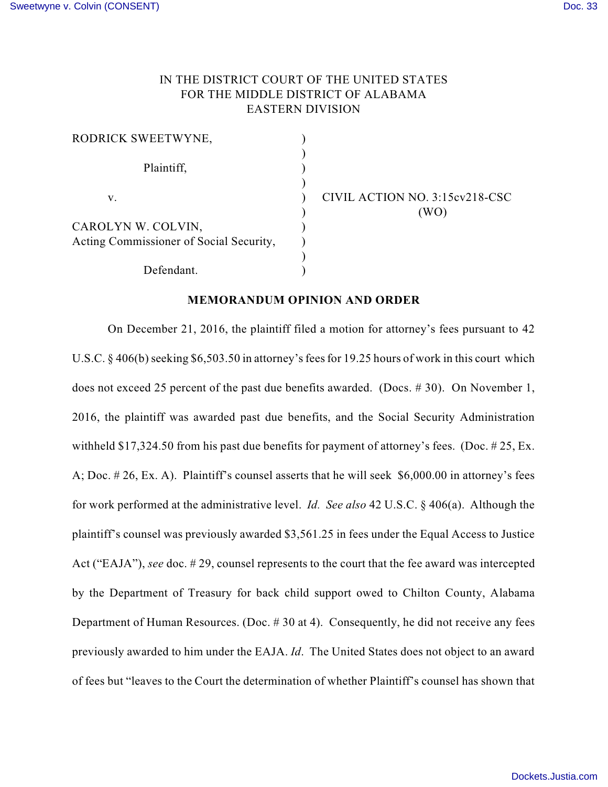## IN THE DISTRICT COURT OF THE UNITED STATES FOR THE MIDDLE DISTRICT OF ALABAMA EASTERN DIVISION

| RODRICK SWEETWYNE,                      |  |
|-----------------------------------------|--|
|                                         |  |
| Plaintiff,                              |  |
|                                         |  |
| V.                                      |  |
|                                         |  |
| CAROLYN W. COLVIN,                      |  |
| Acting Commissioner of Social Security, |  |
|                                         |  |
| Defendant.                              |  |

v. ) CIVIL ACTION NO. 3:15cv218-CSC  $(WO)$ 

## **MEMORANDUM OPINION AND ORDER**

On December 21, 2016, the plaintiff filed a motion for attorney's fees pursuant to 42 U.S.C. § 406(b) seeking \$6,503.50 in attorney's fees for 19.25 hours of work in this court which does not exceed 25 percent of the past due benefits awarded. (Docs. # 30). On November 1, 2016, the plaintiff was awarded past due benefits, and the Social Security Administration withheld \$17,324.50 from his past due benefits for payment of attorney's fees. (Doc. #25, Ex. A; Doc. # 26, Ex. A). Plaintiff's counsel asserts that he will seek \$6,000.00 in attorney's fees for work performed at the administrative level. *Id. See also* 42 U.S.C. § 406(a). Although the plaintiff's counsel was previously awarded \$3,561.25 in fees under the Equal Access to Justice Act ("EAJA"), *see* doc. # 29, counsel represents to the court that the fee award was intercepted by the Department of Treasury for back child support owed to Chilton County, Alabama Department of Human Resources. (Doc. # 30 at 4). Consequently, he did not receive any fees previously awarded to him under the EAJA. *Id*. The United States does not object to an award of fees but "leaves to the Court the determination of whether Plaintiff's counsel has shown that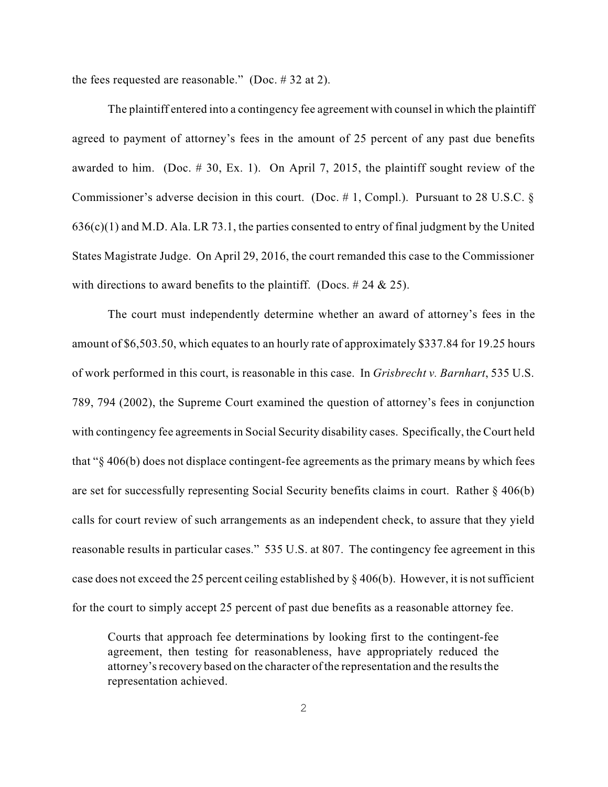the fees requested are reasonable." (Doc. # 32 at 2).

The plaintiff entered into a contingency fee agreement with counsel in which the plaintiff agreed to payment of attorney's fees in the amount of 25 percent of any past due benefits awarded to him. (Doc. # 30, Ex. 1). On April 7, 2015, the plaintiff sought review of the Commissioner's adverse decision in this court. (Doc. # 1, Compl.). Pursuant to 28 U.S.C. §  $636(c)(1)$  and M.D. Ala. LR 73.1, the parties consented to entry of final judgment by the United States Magistrate Judge. On April 29, 2016, the court remanded this case to the Commissioner with directions to award benefits to the plaintiff. (Docs.  $\# 24 \& 25$ ).

The court must independently determine whether an award of attorney's fees in the amount of \$6,503.50, which equates to an hourly rate of approximately \$337.84 for 19.25 hours of work performed in this court, is reasonable in this case. In *Grisbrecht v. Barnhart*, 535 U.S. 789, 794 (2002), the Supreme Court examined the question of attorney's fees in conjunction with contingency fee agreements in Social Security disability cases. Specifically, the Court held that "§ 406(b) does not displace contingent-fee agreements as the primary means by which fees are set for successfully representing Social Security benefits claims in court. Rather § 406(b) calls for court review of such arrangements as an independent check, to assure that they yield reasonable results in particular cases." 535 U.S. at 807. The contingency fee agreement in this case does not exceed the 25 percent ceiling established by  $\S 406(b)$ . However, it is not sufficient for the court to simply accept 25 percent of past due benefits as a reasonable attorney fee.

Courts that approach fee determinations by looking first to the contingent-fee agreement, then testing for reasonableness, have appropriately reduced the attorney's recovery based on the character of the representation and the results the representation achieved.